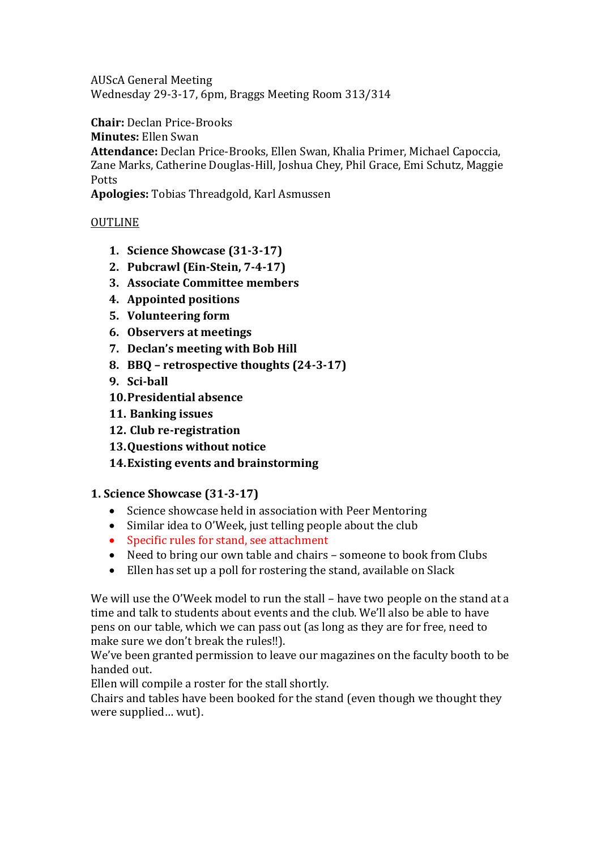AUScA General Meeting Wednesday 29-3-17, 6pm, Braggs Meeting Room 313/314

**Chair:** Declan Price-Brooks

**Minutes:** Ellen Swan

**Attendance:** Declan Price-Brooks, Ellen Swan, Khalia Primer, Michael Capoccia, Zane Marks, Catherine Douglas-Hill, Joshua Chey, Phil Grace, Emi Schutz, Maggie Potts

**Apologies:** Tobias Threadgold, Karl Asmussen

### OUTLINE

- **1. Science Showcase (31-3-17)**
- **2. Pubcrawl (Ein-Stein, 7-4-17)**
- **3. Associate Committee members**
- **4. Appointed positions**
- **5. Volunteering form**
- **6. Observers at meetings**
- **7. Declan's meeting with Bob Hill**
- **8. BBQ – retrospective thoughts (24-3-17)**
- **9. Sci-ball**
- **10.Presidential absence**
- **11. Banking issues**
- **12. Club re-registration**
- **13.Questions without notice**
- **14.Existing events and brainstorming**

# **1. Science Showcase (31-3-17)**

- Science showcase held in association with Peer Mentoring
- Similar idea to O'Week, just telling people about the club
- Specific rules for stand, see attachment
- Need to bring our own table and chairs someone to book from Clubs
- Ellen has set up a poll for rostering the stand, available on Slack

We will use the O'Week model to run the stall – have two people on the stand at a time and talk to students about events and the club. We'll also be able to have pens on our table, which we can pass out (as long as they are for free, need to make sure we don't break the rules‼).

We've been granted permission to leave our magazines on the faculty booth to be handed out.

Ellen will compile a roster for the stall shortly.

Chairs and tables have been booked for the stand (even though we thought they were supplied… wut).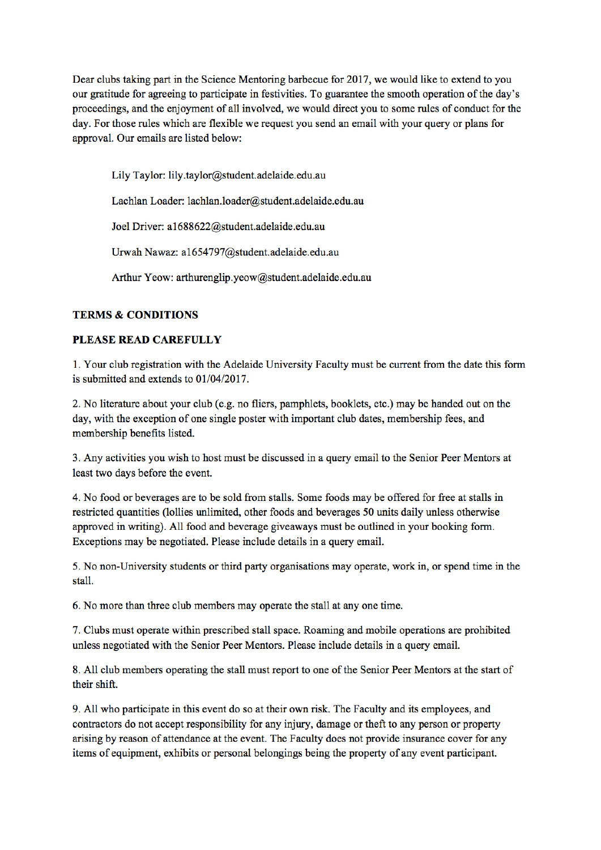Dear clubs taking part in the Science Mentoring barbecue for 2017, we would like to extend to you our gratitude for agreeing to participate in festivities. To guarantee the smooth operation of the day's proceedings, and the enjoyment of all involved, we would direct you to some rules of conduct for the day. For those rules which are flexible we request you send an email with your query or plans for approval. Our emails are listed below:

Lily Taylor: lily.taylor@student.adelaide.edu.au

Lachlan Loader: lachlan.loader@student.adelaide.edu.au

Joel Driver: a1688622@student.adelaide.edu.au

Urwah Nawaz: a1654797@student.adelaide.edu.au

Arthur Yeow: arthurenglip.yeow@student.adelaide.edu.au

#### **TERMS & CONDITIONS**

#### PLEASE READ CAREFULLY

1. Your club registration with the Adelaide University Faculty must be current from the date this form is submitted and extends to  $01/04/2017$ .

2. No literature about your club (e.g. no fliers, pamphlets, booklets, etc.) may be handed out on the day, with the exception of one single poster with important club dates, membership fees, and membership benefits listed.

3. Any activities you wish to host must be discussed in a query email to the Senior Peer Mentors at least two days before the event.

4. No food or beverages are to be sold from stalls. Some foods may be offered for free at stalls in restricted quantities (lollies unlimited, other foods and beverages 50 units daily unless otherwise approved in writing). All food and beverage give aways must be outlined in your booking form. Exceptions may be negotiated. Please include details in a query email.

5. No non-University students or third party organisations may operate, work in, or spend time in the stall.

6. No more than three club members may operate the stall at any one time.

7. Clubs must operate within prescribed stall space. Roaming and mobile operations are prohibited unless negotiated with the Senior Peer Mentors. Please include details in a query email.

8. All club members operating the stall must report to one of the Senior Peer Mentors at the start of their shift.

9. All who participate in this event do so at their own risk. The Faculty and its employees, and contractors do not accept responsibility for any injury, damage or theft to any person or property arising by reason of attendance at the event. The Faculty does not provide insurance cover for any items of equipment, exhibits or personal belongings being the property of any event participant.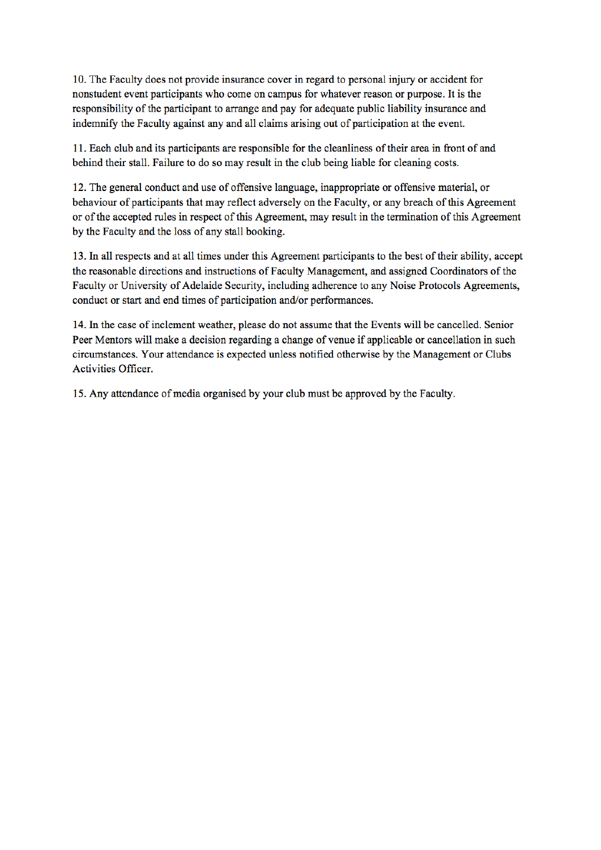10. The Faculty does not provide insurance cover in regard to personal injury or accident for nonstudent event participants who come on campus for whatever reason or purpose. It is the responsibility of the participant to arrange and pay for adequate public liability insurance and indemnify the Faculty against any and all claims arising out of participation at the event.

11. Each club and its participants are responsible for the cleanliness of their area in front of and behind their stall. Failure to do so may result in the club being liable for cleaning costs.

12. The general conduct and use of offensive language, inappropriate or offensive material, or behaviour of participants that may reflect adversely on the Faculty, or any breach of this Agreement or of the accepted rules in respect of this Agreement, may result in the termination of this Agreement by the Faculty and the loss of any stall booking.

13. In all respects and at all times under this Agreement participants to the best of their ability, accept the reasonable directions and instructions of Faculty Management, and assigned Coordinators of the Faculty or University of Adelaide Security, including adherence to any Noise Protocols Agreements, conduct or start and end times of participation and/or performances.

14. In the case of inclement weather, please do not assume that the Events will be cancelled. Senior Peer Mentors will make a decision regarding a change of venue if applicable or cancellation in such circumstances. Your attendance is expected unless notified otherwise by the Management or Clubs Activities Officer.

15. Any attendance of media organised by your club must be approved by the Faculty.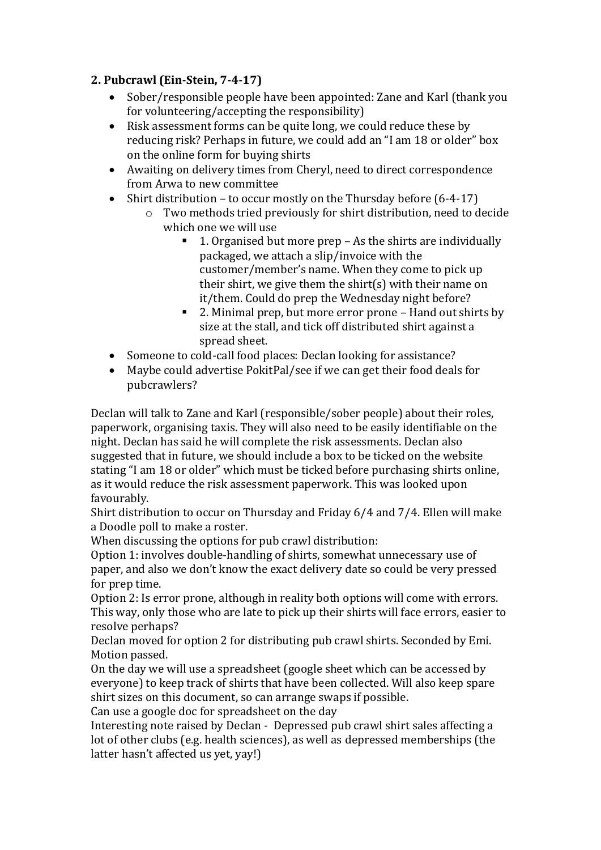### **2. Pubcrawl (Ein-Stein, 7-4-17)**

- Sober/responsible people have been appointed: Zane and Karl (thank you for volunteering/accepting the responsibility)
- Risk assessment forms can be quite long, we could reduce these by reducing risk? Perhaps in future, we could add an "I am 18 or older" box on the online form for buying shirts
- Awaiting on delivery times from Cheryl, need to direct correspondence from Arwa to new committee
- $\bullet$  Shirt distribution to occur mostly on the Thursday before (6-4-17)
	- o Two methods tried previously for shirt distribution, need to decide which one we will use
		- 1. Organised but more prep As the shirts are individually packaged, we attach a slip/invoice with the customer/member's name. When they come to pick up their shirt, we give them the shirt(s) with their name on it/them. Could do prep the Wednesday night before?
		- 2. Minimal prep, but more error prone Hand out shirts by size at the stall, and tick off distributed shirt against a spread sheet.
- Someone to cold-call food places: Declan looking for assistance?
- Maybe could advertise PokitPal/see if we can get their food deals for pubcrawlers?

Declan will talk to Zane and Karl (responsible/sober people) about their roles, paperwork, organising taxis. They will also need to be easily identifiable on the night. Declan has said he will complete the risk assessments. Declan also suggested that in future, we should include a box to be ticked on the website stating "I am 18 or older" which must be ticked before purchasing shirts online, as it would reduce the risk assessment paperwork. This was looked upon favourably.

Shirt distribution to occur on Thursday and Friday 6/4 and 7/4. Ellen will make a Doodle poll to make a roster.

When discussing the options for pub crawl distribution:

Option 1: involves double-handling of shirts, somewhat unnecessary use of paper, and also we don't know the exact delivery date so could be very pressed for prep time.

Option 2: Is error prone, although in reality both options will come with errors. This way, only those who are late to pick up their shirts will face errors, easier to resolve perhaps?

Declan moved for option 2 for distributing pub crawl shirts. Seconded by Emi. Motion passed.

On the day we will use a spreadsheet (google sheet which can be accessed by everyone) to keep track of shirts that have been collected. Will also keep spare shirt sizes on this document, so can arrange swaps if possible.

Can use a google doc for spreadsheet on the day

Interesting note raised by Declan - Depressed pub crawl shirt sales affecting a lot of other clubs (e.g. health sciences), as well as depressed memberships (the latter hasn't affected us yet, yay!)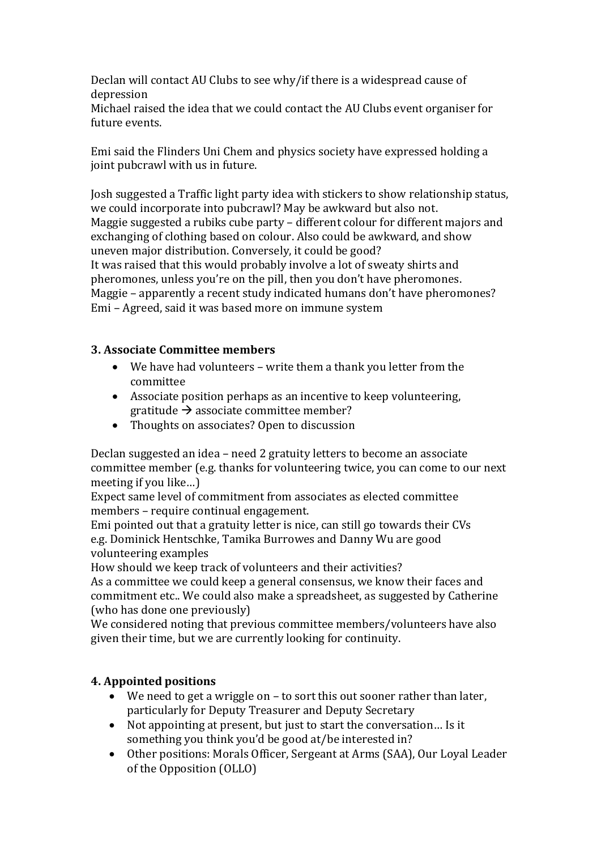Declan will contact AU Clubs to see why/if there is a widespread cause of depression Michael raised the idea that we could contact the AU Clubs event organiser for future events.

Emi said the Flinders Uni Chem and physics society have expressed holding a joint pubcrawl with us in future.

Josh suggested a Traffic light party idea with stickers to show relationship status, we could incorporate into pubcrawl? May be awkward but also not. Maggie suggested a rubiks cube party – different colour for different majors and exchanging of clothing based on colour. Also could be awkward, and show uneven major distribution. Conversely, it could be good? It was raised that this would probably involve a lot of sweaty shirts and pheromones, unless you're on the pill, then you don't have pheromones. Maggie – apparently a recent study indicated humans don't have pheromones? Emi – Agreed, said it was based more on immune system

#### **3. Associate Committee members**

- We have had volunteers write them a thank you letter from the committee
- Associate position perhaps as an incentive to keep volunteering,  $gratitude \rightarrow associate committee member?$
- Thoughts on associates? Open to discussion

Declan suggested an idea – need 2 gratuity letters to become an associate committee member (e.g. thanks for volunteering twice, you can come to our next meeting if you like…)

Expect same level of commitment from associates as elected committee members – require continual engagement.

Emi pointed out that a gratuity letter is nice, can still go towards their CVs e.g. Dominick Hentschke, Tamika Burrowes and Danny Wu are good volunteering examples

How should we keep track of volunteers and their activities?

As a committee we could keep a general consensus, we know their faces and commitment etc.. We could also make a spreadsheet, as suggested by Catherine (who has done one previously)

We considered noting that previous committee members/volunteers have also given their time, but we are currently looking for continuity.

### **4. Appointed positions**

- We need to get a wriggle on to sort this out sooner rather than later, particularly for Deputy Treasurer and Deputy Secretary
- Not appointing at present, but just to start the conversation… Is it something you think you'd be good at/be interested in?
- Other positions: Morals Officer, Sergeant at Arms (SAA), Our Loyal Leader of the Opposition (OLLO)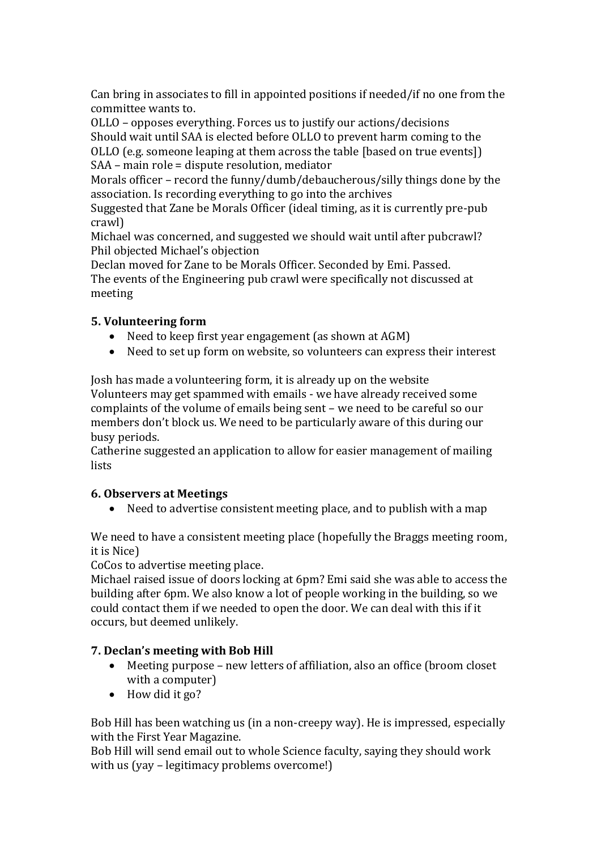Can bring in associates to fill in appointed positions if needed/if no one from the committee wants to.

OLLO – opposes everything. Forces us to justify our actions/decisions Should wait until SAA is elected before OLLO to prevent harm coming to the OLLO (e.g. someone leaping at them across the table [based on true events]) SAA – main role = dispute resolution, mediator

Morals officer – record the funny/dumb/debaucherous/silly things done by the association. Is recording everything to go into the archives

Suggested that Zane be Morals Officer (ideal timing, as it is currently pre-pub crawl)

Michael was concerned, and suggested we should wait until after pubcrawl? Phil objected Michael's objection

Declan moved for Zane to be Morals Officer. Seconded by Emi. Passed. The events of the Engineering pub crawl were specifically not discussed at meeting

# **5. Volunteering form**

- Need to keep first year engagement (as shown at AGM)
- Need to set up form on website, so volunteers can express their interest

Josh has made a volunteering form, it is already up on the website Volunteers may get spammed with emails - we have already received some complaints of the volume of emails being sent – we need to be careful so our members don't block us. We need to be particularly aware of this during our busy periods.

Catherine suggested an application to allow for easier management of mailing lists

# **6. Observers at Meetings**

• Need to advertise consistent meeting place, and to publish with a map

We need to have a consistent meeting place (hopefully the Braggs meeting room, it is Nice)

CoCos to advertise meeting place.

Michael raised issue of doors locking at 6pm? Emi said she was able to access the building after 6pm. We also know a lot of people working in the building, so we could contact them if we needed to open the door. We can deal with this if it occurs, but deemed unlikely.

# **7. Declan's meeting with Bob Hill**

- Meeting purpose new letters of affiliation, also an office (broom closet with a computer)
- How did it go?

Bob Hill has been watching us (in a non-creepy way). He is impressed, especially with the First Year Magazine.

Bob Hill will send email out to whole Science faculty, saying they should work with us (yay – legitimacy problems overcome!)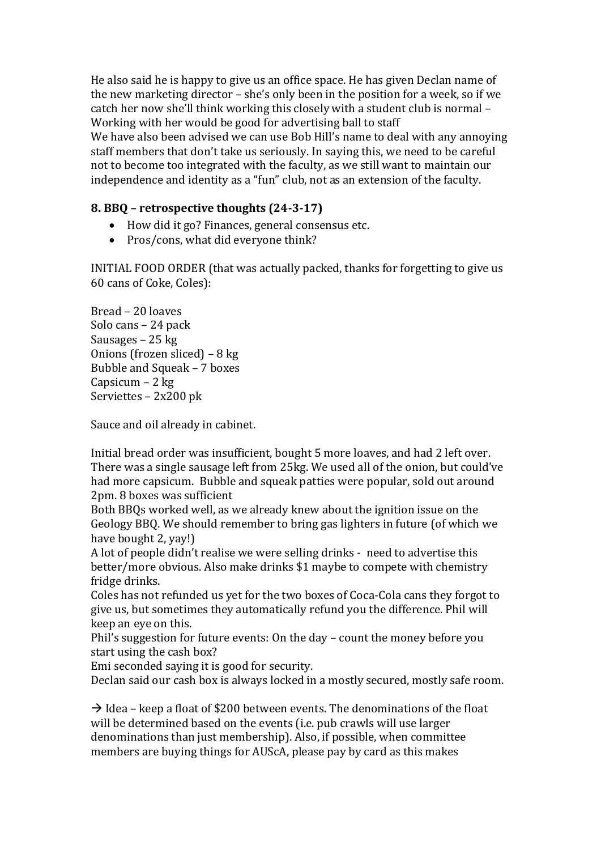He also said he is happy to give us an office space. He has given Declan name of the new marketing director – she's only been in the position for a week, so if we catch her now she'll think working this closely with a student club is normal – Working with her would be good for advertising ball to staff We have also been advised we can use Bob Hill's name to deal with any annoying staff members that don't take us seriously. In saying this, we need to be careful not to become too integrated with the faculty, as we still want to maintain our independence and identity as a "fun" club, not as an extension of the faculty.

### **8. BBQ – retrospective thoughts (24-3-17)**

- How did it go? Finances, general consensus etc.
- Pros/cons, what did everyone think?

INITIAL FOOD ORDER (that was actually packed, thanks for forgetting to give us 60 cans of Coke, Coles):

Bread – 20 loaves Solo cans – 24 pack Sausages – 25 kg Onions (frozen sliced) – 8 kg Bubble and Squeak – 7 boxes Capsicum – 2 kg Serviettes – 2x200 pk

Sauce and oil already in cabinet.

Initial bread order was insufficient, bought 5 more loaves, and had 2 left over. There was a single sausage left from 25kg. We used all of the onion, but could've had more capsicum. Bubble and squeak patties were popular, sold out around 2pm. 8 boxes was sufficient

Both BBQs worked well, as we already knew about the ignition issue on the Geology BBQ. We should remember to bring gas lighters in future (of which we have bought 2, yay!)

A lot of people didn't realise we were selling drinks - need to advertise this better/more obvious. Also make drinks \$1 maybe to compete with chemistry fridge drinks.

Coles has not refunded us yet for the two boxes of Coca-Cola cans they forgot to give us, but sometimes they automatically refund you the difference. Phil will keep an eye on this.

Phil's suggestion for future events: On the day – count the money before you start using the cash box?

Emi seconded saying it is good for security.

Declan said our cash box is always locked in a mostly secured, mostly safe room.

 $\rightarrow$  Idea – keep a float of \$200 between events. The denominations of the float will be determined based on the events (i.e. pub crawls will use larger denominations than just membership). Also, if possible, when committee members are buying things for AUScA, please pay by card as this makes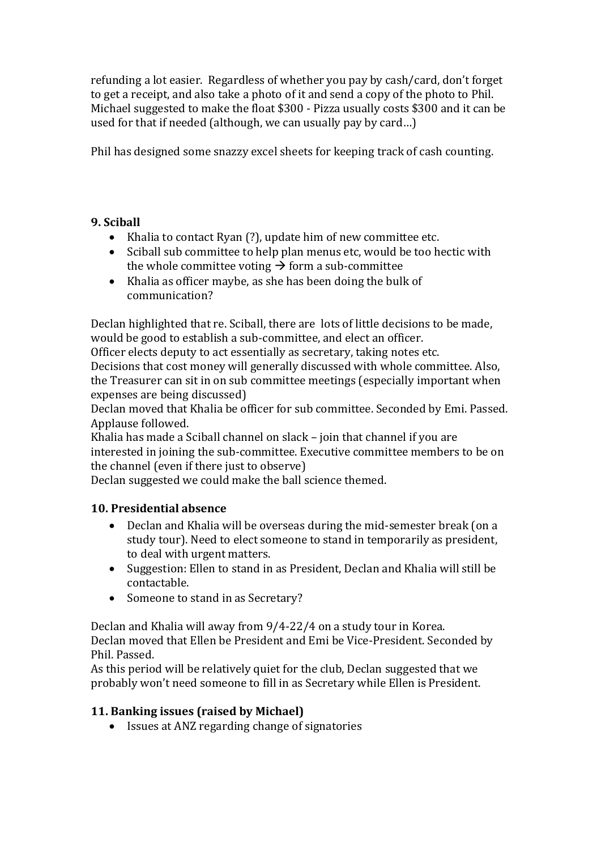refunding a lot easier. Regardless of whether you pay by cash/card, don't forget to get a receipt, and also take a photo of it and send a copy of the photo to Phil. Michael suggested to make the float \$300 - Pizza usually costs \$300 and it can be used for that if needed (although, we can usually pay by card…)

Phil has designed some snazzy excel sheets for keeping track of cash counting.

### **9. Sciball**

- Khalia to contact Ryan (?), update him of new committee etc.
- Sciball sub committee to help plan menus etc, would be too hectic with the whole committee voting  $\rightarrow$  form a sub-committee
- Khalia as officer maybe, as she has been doing the bulk of communication?

Declan highlighted that re. Sciball, there are lots of little decisions to be made, would be good to establish a sub-committee, and elect an officer.

Officer elects deputy to act essentially as secretary, taking notes etc.

Decisions that cost money will generally discussed with whole committee. Also, the Treasurer can sit in on sub committee meetings (especially important when expenses are being discussed)

Declan moved that Khalia be officer for sub committee. Seconded by Emi. Passed. Applause followed.

Khalia has made a Sciball channel on slack – join that channel if you are interested in joining the sub-committee. Executive committee members to be on the channel (even if there just to observe)

Declan suggested we could make the ball science themed.

# **10. Presidential absence**

- Declan and Khalia will be overseas during the mid-semester break (on a study tour). Need to elect someone to stand in temporarily as president, to deal with urgent matters.
- Suggestion: Ellen to stand in as President, Declan and Khalia will still be contactable.
- Someone to stand in as Secretary?

Declan and Khalia will away from 9/4-22/4 on a study tour in Korea. Declan moved that Ellen be President and Emi be Vice-President. Seconded by Phil. Passed.

As this period will be relatively quiet for the club, Declan suggested that we probably won't need someone to fill in as Secretary while Ellen is President.

### **11. Banking issues (raised by Michael)**

Issues at ANZ regarding change of signatories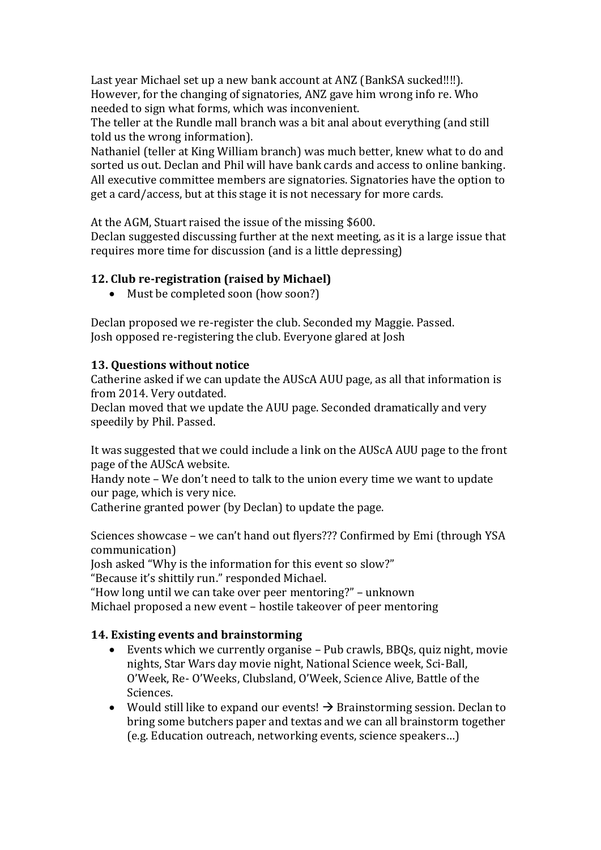Last year Michael set up a new bank account at ANZ (BankSA sucked‼‼). However, for the changing of signatories, ANZ gave him wrong info re. Who needed to sign what forms, which was inconvenient.

The teller at the Rundle mall branch was a bit anal about everything (and still told us the wrong information).

Nathaniel (teller at King William branch) was much better, knew what to do and sorted us out. Declan and Phil will have bank cards and access to online banking. All executive committee members are signatories. Signatories have the option to get a card/access, but at this stage it is not necessary for more cards.

At the AGM, Stuart raised the issue of the missing \$600.

Declan suggested discussing further at the next meeting, as it is a large issue that requires more time for discussion (and is a little depressing)

### **12. Club re-registration (raised by Michael)**

• Must be completed soon (how soon?)

Declan proposed we re-register the club. Seconded my Maggie. Passed. Josh opposed re-registering the club. Everyone glared at Josh

#### **13. Questions without notice**

Catherine asked if we can update the AUScA AUU page, as all that information is from 2014. Very outdated.

Declan moved that we update the AUU page. Seconded dramatically and very speedily by Phil. Passed.

It was suggested that we could include a link on the AUScA AUU page to the front page of the AUScA website.

Handy note – We don't need to talk to the union every time we want to update our page, which is very nice.

Catherine granted power (by Declan) to update the page.

Sciences showcase – we can't hand out flyers??? Confirmed by Emi (through YSA communication)

Josh asked "Why is the information for this event so slow?" "Because it's shittily run." responded Michael.

"How long until we can take over peer mentoring?" – unknown Michael proposed a new event – hostile takeover of peer mentoring

#### **14. Existing events and brainstorming**

- Events which we currently organise Pub crawls, BBQs, quiz night, movie nights, Star Wars day movie night, National Science week, Sci-Ball, O'Week, Re- O'Weeks, Clubsland, O'Week, Science Alive, Battle of the Sciences.
- Would still like to expand our events!  $\rightarrow$  Brainstorming session. Declan to bring some butchers paper and textas and we can all brainstorm together (e.g. Education outreach, networking events, science speakers…)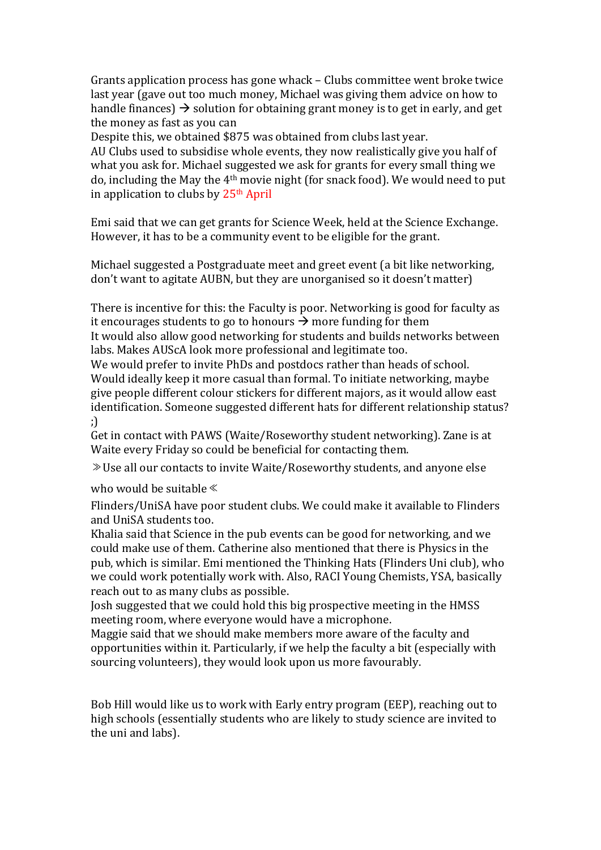Grants application process has gone whack – Clubs committee went broke twice last year (gave out too much money, Michael was giving them advice on how to handle finances)  $\rightarrow$  solution for obtaining grant money is to get in early, and get the money as fast as you can

Despite this, we obtained \$875 was obtained from clubs last year.

AU Clubs used to subsidise whole events, they now realistically give you half of what you ask for. Michael suggested we ask for grants for every small thing we do, including the May the 4th movie night (for snack food). We would need to put in application to clubs by 25<sup>th</sup> April

Emi said that we can get grants for Science Week, held at the Science Exchange. However, it has to be a community event to be eligible for the grant.

Michael suggested a Postgraduate meet and greet event (a bit like networking, don't want to agitate AUBN, but they are unorganised so it doesn't matter)

There is incentive for this: the Faculty is poor. Networking is good for faculty as it encourages students to go to honours  $\rightarrow$  more funding for them It would also allow good networking for students and builds networks between labs. Makes AUScA look more professional and legitimate too.

We would prefer to invite PhDs and postdocs rather than heads of school. Would ideally keep it more casual than formal. To initiate networking, maybe give people different colour stickers for different majors, as it would allow east identification. Someone suggested different hats for different relationship status? ;)

Get in contact with PAWS (Waite/Roseworthy student networking). Zane is at Waite every Friday so could be beneficial for contacting them.

≫Use all our contacts to invite Waite/Roseworthy students, and anyone else

who would be suitable≪

Flinders/UniSA have poor student clubs. We could make it available to Flinders and UniSA students too.

Khalia said that Science in the pub events can be good for networking, and we could make use of them. Catherine also mentioned that there is Physics in the pub, which is similar. Emi mentioned the Thinking Hats (Flinders Uni club), who we could work potentially work with. Also, RACI Young Chemists, YSA, basically reach out to as many clubs as possible.

Josh suggested that we could hold this big prospective meeting in the HMSS meeting room, where everyone would have a microphone.

Maggie said that we should make members more aware of the faculty and opportunities within it. Particularly, if we help the faculty a bit (especially with sourcing volunteers), they would look upon us more favourably.

Bob Hill would like us to work with Early entry program (EEP), reaching out to high schools (essentially students who are likely to study science are invited to the uni and labs).